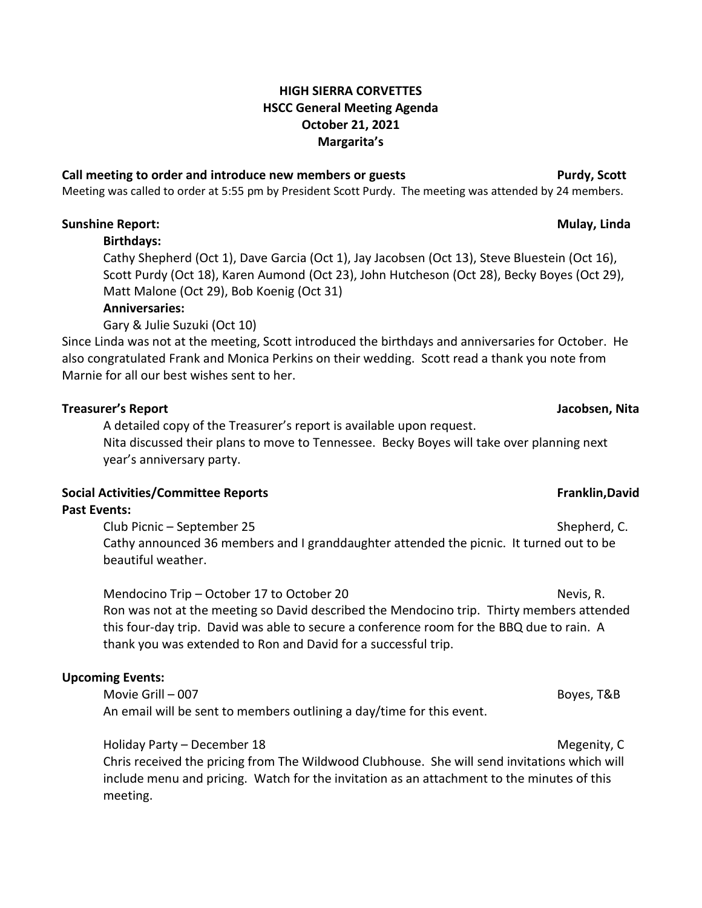### **HIGH SIERRA CORVETTES HSCC General Meeting Agenda October 21, 2021 Margarita's**

### **Call meeting to order and introduce new members or guests Purdy, Scott**

Meeting was called to order at 5:55 pm by President Scott Purdy. The meeting was attended by 24 members.

### **Sunshine Report: Mulay, Linda**

### **Birthdays:**

Cathy Shepherd (Oct 1), Dave Garcia (Oct 1), Jay Jacobsen (Oct 13), Steve Bluestein (Oct 16), Scott Purdy (Oct 18), Karen Aumond (Oct 23), John Hutcheson (Oct 28), Becky Boyes (Oct 29), Matt Malone (Oct 29), Bob Koenig (Oct 31)

### **Anniversaries:**

Gary & Julie Suzuki (Oct 10)

Since Linda was not at the meeting, Scott introduced the birthdays and anniversaries for October. He also congratulated Frank and Monica Perkins on their wedding. Scott read a thank you note from Marnie for all our best wishes sent to her.

### **Treasurer's Report Jacobsen, Nita**

A detailed copy of the Treasurer's report is available upon request. Nita discussed their plans to move to Tennessee. Becky Boyes will take over planning next year's anniversary party.

## **Social Activities/Committee Reports Franklin,David**

### **Past Events:**

Club Picnic – September 25 Shepherd, C. Cathy announced 36 members and I granddaughter attended the picnic. It turned out to be beautiful weather.

Mendocino Trip – October 17 to October 20 Nevis, R. Ron was not at the meeting so David described the Mendocino trip. Thirty members attended this four-day trip. David was able to secure a conference room for the BBQ due to rain. A thank you was extended to Ron and David for a successful trip.

### **Upcoming Events:**

Movie Grill – 007 Boyes, T&B An email will be sent to members outlining a day/time for this event.

Holiday Party – December 18 Megenity, C

Chris received the pricing from The Wildwood Clubhouse. She will send invitations which will include menu and pricing. Watch for the invitation as an attachment to the minutes of this meeting.